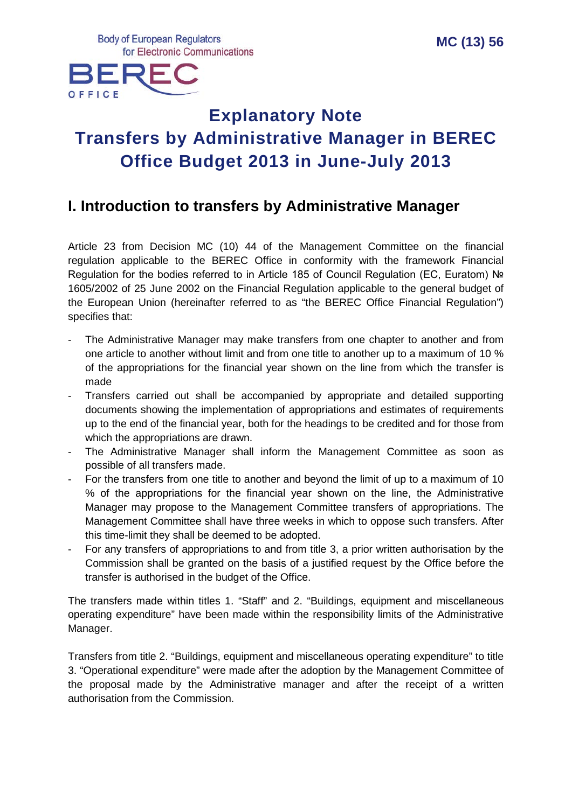**Body of European Regulators** for Electronic Communications



# **Explanatory Note Transfers by Administrative Manager in BEREC Office Budget 2013 in June-July 2013**

# **I. Introduction to transfers by Administrative Manager**

Article 23 from Decision MC (10) 44 of the Management Committee on the financial regulation applicable to the BEREC Office in conformity with the framework Financial Regulation for the bodies referred to in Article 185 of Council Regulation (EC, Euratom) No 1605/2002 of 25 June 2002 on the Financial Regulation applicable to the general budget of the European Union (hereinafter referred to as "the BEREC Office Financial Regulation") specifies that:

- The Administrative Manager may make transfers from one chapter to another and from one article to another without limit and from one title to another up to a maximum of 10 % of the appropriations for the financial year shown on the line from which the transfer is made
- Transfers carried out shall be accompanied by appropriate and detailed supporting documents showing the implementation of appropriations and estimates of requirements up to the end of the financial year, both for the headings to be credited and for those from which the appropriations are drawn.
- The Administrative Manager shall inform the Management Committee as soon as possible of all transfers made.
- For the transfers from one title to another and beyond the limit of up to a maximum of 10 % of the appropriations for the financial year shown on the line, the Administrative Manager may propose to the Management Committee transfers of appropriations. The Management Committee shall have three weeks in which to oppose such transfers. After this time-limit they shall be deemed to be adopted.
- For any transfers of appropriations to and from title 3, a prior written authorisation by the Commission shall be granted on the basis of a justified request by the Office before the transfer is authorised in the budget of the Office.

The transfers made within titles 1. "Staff" and 2. "Buildings, equipment and miscellaneous operating expenditure" have been made within the responsibility limits of the Administrative Manager.

Transfers from title 2. "Buildings, equipment and miscellaneous operating expenditure" to title 3. "Operational expenditure" were made after the adoption by the Management Committee of the proposal made by the Administrative manager and after the receipt of a written authorisation from the Commission.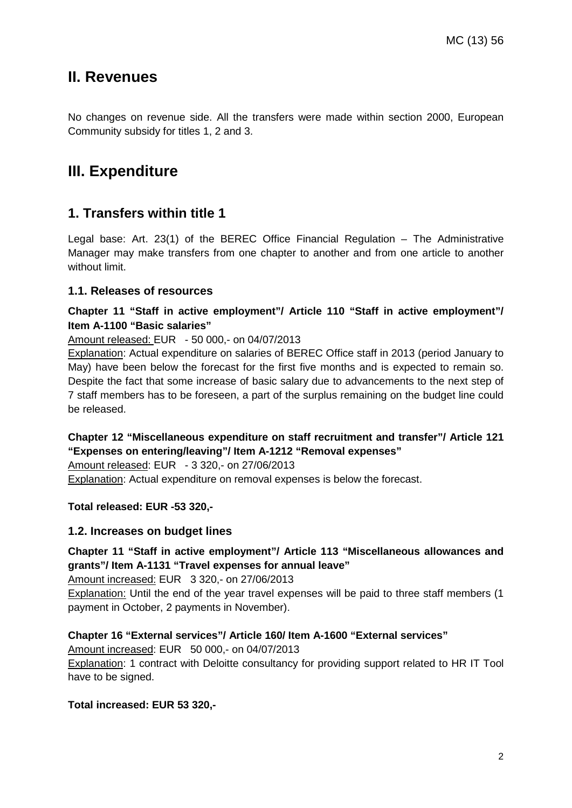### **II. Revenues**

No changes on revenue side. All the transfers were made within section 2000, European Community subsidy for titles 1, 2 and 3.

# **III. Expenditure**

### **1. Transfers within title 1**

Legal base: Art. 23(1) of the BEREC Office Financial Regulation – The Administrative Manager may make transfers from one chapter to another and from one article to another without limit.

#### **1.1. Releases of resources**

#### **Chapter 11 "Staff in active employment"/ Article 110 "Staff in active employment"/ Item A-1100 "Basic salaries"**

Amount released: EUR - 50 000,- on 04/07/2013

Explanation: Actual expenditure on salaries of BEREC Office staff in 2013 (period January to May) have been below the forecast for the first five months and is expected to remain so. Despite the fact that some increase of basic salary due to advancements to the next step of 7 staff members has to be foreseen, a part of the surplus remaining on the budget line could be released.

**Chapter 12 "Miscellaneous expenditure on staff recruitment and transfer"/ Article 121 "Expenses on entering/leaving"/ Item A-1212 "Removal expenses"**

Amount released: EUR - 3 320,- on 27/06/2013

Explanation: Actual expenditure on removal expenses is below the forecast.

**Total released: EUR -53 320,-**

#### **1.2. Increases on budget lines**

#### **Chapter 11 "Staff in active employment"/ Article 113 "Miscellaneous allowances and grants"/ Item A-1131 "Travel expenses for annual leave"**

Amount increased: EUR 3 320,- on 27/06/2013

Explanation: Until the end of the year travel expenses will be paid to three staff members (1 payment in October, 2 payments in November).

**Chapter 16 "External services"/ Article 160/ Item A-1600 "External services"**

Amount increased: EUR 50 000,- on 04/07/2013 Explanation: 1 contract with Deloitte consultancy for providing support related to HR IT Tool have to be signed.

#### **Total increased: EUR 53 320,-**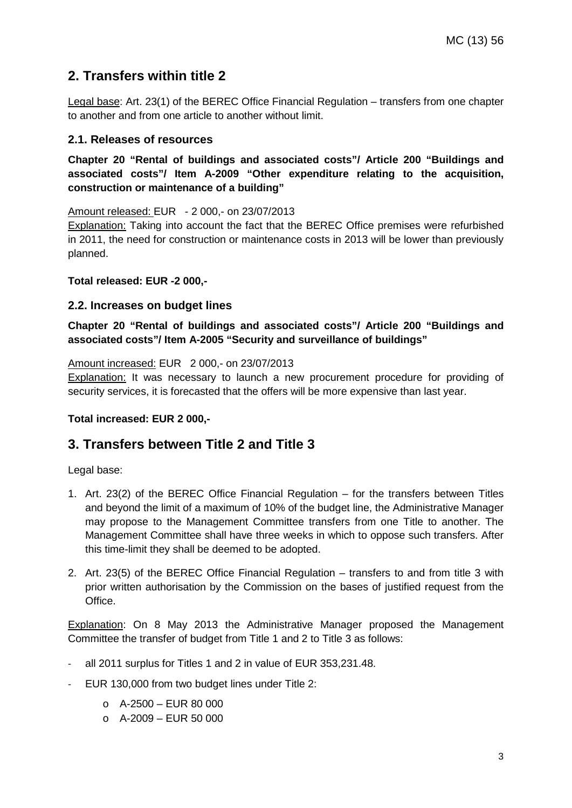### **2. Transfers within title 2**

Legal base: Art. 23(1) of the BEREC Office Financial Regulation – transfers from one chapter to another and from one article to another without limit.

#### **2.1. Releases of resources**

**Chapter 20 "Rental of buildings and associated costs"/ Article 200 "Buildings and associated costs"/ Item A-2009 "Other expenditure relating to the acquisition, construction or maintenance of a building"**

Amount released: EUR - 2 000,- on 23/07/2013

Explanation: Taking into account the fact that the BEREC Office premises were refurbished in 2011, the need for construction or maintenance costs in 2013 will be lower than previously planned.

#### **Total released: EUR -2 000,-**

#### **2.2. Increases on budget lines**

**Chapter 20 "Rental of buildings and associated costs"/ Article 200 "Buildings and associated costs"/ Item A-2005 "Security and surveillance of buildings"**

#### Amount increased: EUR 2 000,- on 23/07/2013

Explanation: It was necessary to launch a new procurement procedure for providing of security services, it is forecasted that the offers will be more expensive than last year.

#### **Total increased: EUR 2 000,-**

### **3. Transfers between Title 2 and Title 3**

Legal base:

- 1. Art. 23(2) of the BEREC Office Financial Regulation for the transfers between Titles and beyond the limit of a maximum of 10% of the budget line, the Administrative Manager may propose to the Management Committee transfers from one Title to another. The Management Committee shall have three weeks in which to oppose such transfers. After this time-limit they shall be deemed to be adopted.
- 2. Art. 23(5) of the BEREC Office Financial Regulation transfers to and from title 3 with prior written authorisation by the Commission on the bases of justified request from the Office.

Explanation: On 8 May 2013 the Administrative Manager proposed the Management Committee the transfer of budget from Title 1 and 2 to Title 3 as follows:

- all 2011 surplus for Titles 1 and 2 in value of EUR 353,231.48.
- EUR 130,000 from two budget lines under Title 2:
	- $O$  A-2500 EUR 80 000
	- $O$  A-2009 EUR 50 000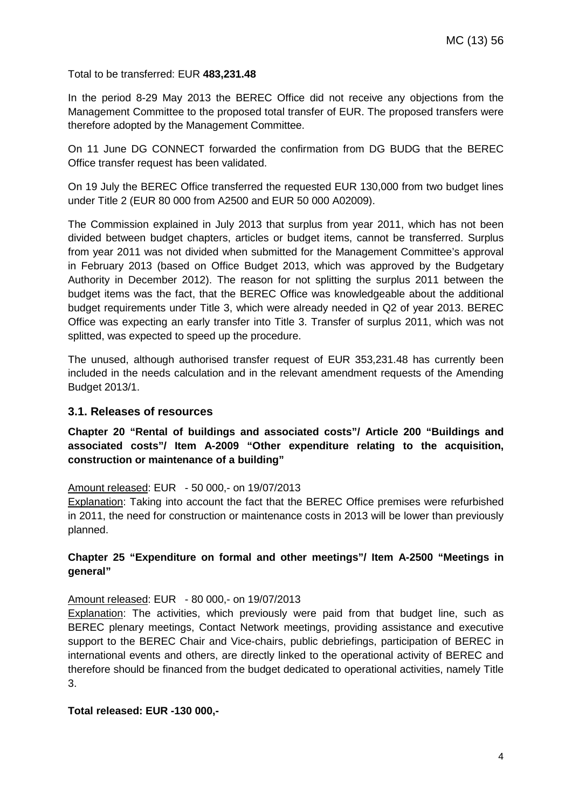Total to be transferred: EUR **483,231.48**

In the period 8-29 May 2013 the BEREC Office did not receive any objections from the Management Committee to the proposed total transfer of EUR. The proposed transfers were therefore adopted by the Management Committee.

On 11 June DG CONNECT forwarded the confirmation from DG BUDG that the BEREC Office transfer request has been validated.

On 19 July the BEREC Office transferred the requested EUR 130,000 from two budget lines under Title 2 (EUR 80 000 from A2500 and EUR 50 000 A02009).

The Commission explained in July 2013 that surplus from year 2011, which has not been divided between budget chapters, articles or budget items, cannot be transferred. Surplus from year 2011 was not divided when submitted for the Management Committee's approval in February 2013 (based on Office Budget 2013, which was approved by the Budgetary Authority in December 2012). The reason for not splitting the surplus 2011 between the budget items was the fact, that the BEREC Office was knowledgeable about the additional budget requirements under Title 3, which were already needed in Q2 of year 2013. BEREC Office was expecting an early transfer into Title 3. Transfer of surplus 2011, which was not splitted, was expected to speed up the procedure.

The unused, although authorised transfer request of EUR 353,231.48 has currently been included in the needs calculation and in the relevant amendment requests of the Amending Budget 2013/1.

#### **3.1. Releases of resources**

**Chapter 20 "Rental of buildings and associated costs"/ Article 200 "Buildings and associated costs"/ Item A-2009 "Other expenditure relating to the acquisition, construction or maintenance of a building"**

#### Amount released: EUR - 50 000,- on 19/07/2013

Explanation: Taking into account the fact that the BEREC Office premises were refurbished in 2011, the need for construction or maintenance costs in 2013 will be lower than previously planned.

#### **Chapter 25 "Expenditure on formal and other meetings"/ Item A-2500 "Meetings in general"**

#### Amount released: EUR - 80 000,- on 19/07/2013

Explanation: The activities, which previously were paid from that budget line, such as BEREC plenary meetings, Contact Network meetings, providing assistance and executive support to the BEREC Chair and Vice-chairs, public debriefings, participation of BEREC in international events and others, are directly linked to the operational activity of BEREC and therefore should be financed from the budget dedicated to operational activities, namely Title 3.

#### **Total released: EUR -130 000,-**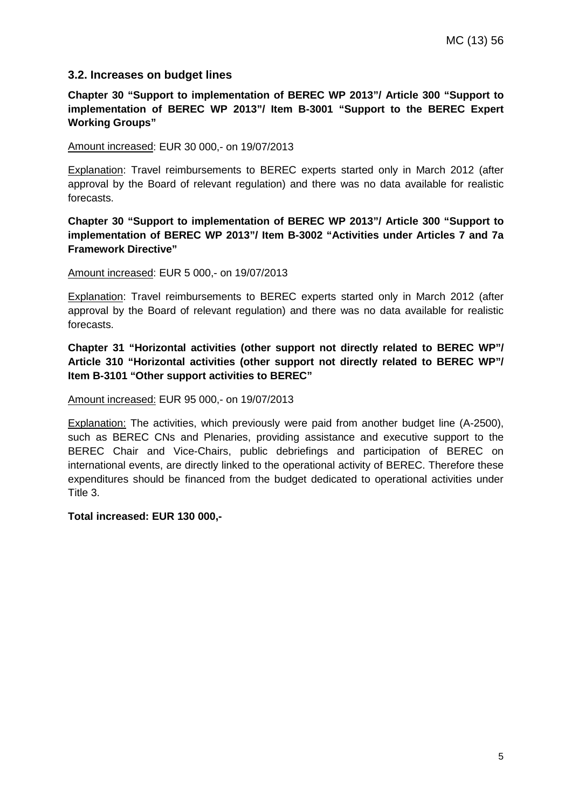#### **3.2. Increases on budget lines**

**Chapter 30 "Support to implementation of BEREC WP 2013"/ Article 300 "Support to implementation of BEREC WP 2013"/ Item B-3001 "Support to the BEREC Expert Working Groups"**

Amount increased: EUR 30 000,- on 19/07/2013

Explanation: Travel reimbursements to BEREC experts started only in March 2012 (after approval by the Board of relevant regulation) and there was no data available for realistic forecasts.

**Chapter 30 "Support to implementation of BEREC WP 2013"/ Article 300 "Support to implementation of BEREC WP 2013"/ Item B-3002 "Activities under Articles 7 and 7a Framework Directive"**

Amount increased: EUR 5 000,- on 19/07/2013

Explanation: Travel reimbursements to BEREC experts started only in March 2012 (after approval by the Board of relevant regulation) and there was no data available for realistic forecasts.

**Chapter 31 "Horizontal activities (other support not directly related to BEREC WP"/ Article 310 "Horizontal activities (other support not directly related to BEREC WP"/ Item B-3101 "Other support activities to BEREC"**

Amount increased: EUR 95 000,- on 19/07/2013

Explanation: The activities, which previously were paid from another budget line (A-2500), such as BEREC CNs and Plenaries, providing assistance and executive support to the BEREC Chair and Vice-Chairs, public debriefings and participation of BEREC on international events, are directly linked to the operational activity of BEREC. Therefore these expenditures should be financed from the budget dedicated to operational activities under Title 3.

**Total increased: EUR 130 000,-**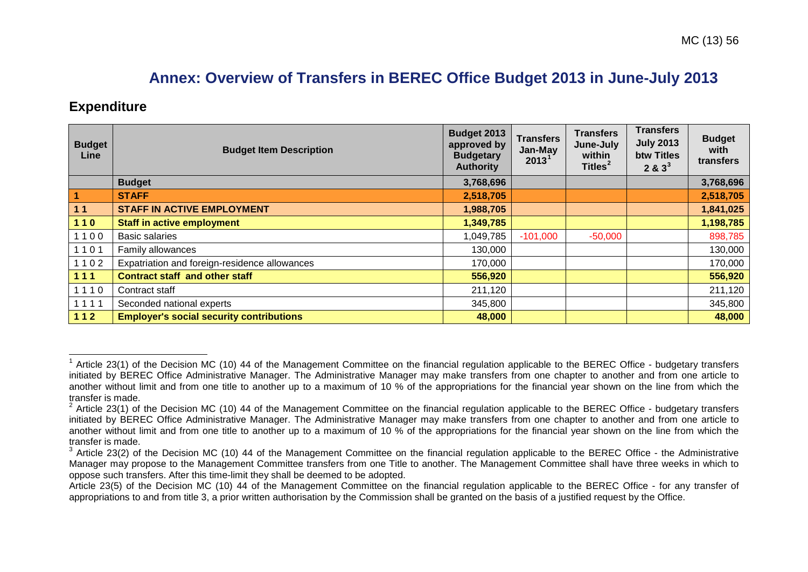# <span id="page-5-2"></span><span id="page-5-1"></span><span id="page-5-0"></span>**Annex: Overview of Transfers in BEREC Office Budget 2013 in June-July 2013**

### **Expenditure**

| <b>Budget</b><br>Line | <b>Budget Item Description</b>                  | Budget 2013<br>approved by<br><b>Budgetary</b><br><b>Authority</b> | <b>Transfers</b><br>Jan-May<br>2013 <sup>1</sup> | <b>Transfers</b><br>June-July<br>within<br>Titles <sup>2</sup> | <b>Transfers</b><br><b>July 2013</b><br>btw Titles<br>$283^3$ | <b>Budget</b><br>with<br>transfers |
|-----------------------|-------------------------------------------------|--------------------------------------------------------------------|--------------------------------------------------|----------------------------------------------------------------|---------------------------------------------------------------|------------------------------------|
|                       | <b>Budget</b>                                   | 3,768,696                                                          |                                                  |                                                                |                                                               | 3,768,696                          |
| $\overline{1}$        | <b>STAFF</b>                                    | 2,518,705                                                          |                                                  |                                                                |                                                               | 2,518,705                          |
| 11                    | <b>STAFF IN ACTIVE EMPLOYMENT</b>               | 1,988,705                                                          |                                                  |                                                                |                                                               | 1,841,025                          |
| $110$                 | <b>Staff in active employment</b>               | 1,349,785                                                          |                                                  |                                                                |                                                               | 1,198,785                          |
| 1100                  | <b>Basic salaries</b>                           | 1,049,785                                                          | $-101,000$                                       | $-50,000$                                                      |                                                               | 898,785                            |
| 1101                  | Family allowances                               | 130,000                                                            |                                                  |                                                                |                                                               | 130,000                            |
| 1102                  | Expatriation and foreign-residence allowances   | 170,000                                                            |                                                  |                                                                |                                                               | 170,000                            |
| $111$                 | <b>Contract staff and other staff</b>           | 556,920                                                            |                                                  |                                                                |                                                               | 556,920                            |
| 1110                  | Contract staff                                  | 211,120                                                            |                                                  |                                                                |                                                               | 211,120                            |
| 1111                  | Seconded national experts                       | 345,800                                                            |                                                  |                                                                |                                                               | 345,800                            |
| 112                   | <b>Employer's social security contributions</b> | 48,000                                                             |                                                  |                                                                |                                                               | 48,000                             |

 $^1$  Article 23(1) of the Decision MC (10) 44 of the Management Committee on the financial regulation applicable to the BEREC Office - budgetary transfers initiated by BEREC Office Administrative Manager. The Administrative Manager may make transfers from one chapter to another and from one article to another without limit and from one title to another up to a maximum of 10 % of the appropriations for the financial year shown on the line from which the transfer is made.  $\overline{\phantom{a}}$ 

 $2$  Article 23(1) of the Decision MC (10) 44 of the Management Committee on the financial regulation applicable to the BEREC Office - budgetary transfers initiated by BEREC Office Administrative Manager. The Administrative Manager may make transfers from one chapter to another and from one article to another without limit and from one title to another up to a maximum of 10 % of the appropriations for the financial year shown on the line from which the transfer is made.

 $3$  Article 23(2) of the Decision MC (10) 44 of the Management Committee on the financial regulation applicable to the BEREC Office - the Administrative Manager may propose to the Management Committee transfers from one Title to another. The Management Committee shall have three weeks in which to oppose such transfers. After this time-limit they shall be deemed to be adopted.

Article 23(5) of the Decision MC (10) 44 of the Management Committee on the financial regulation applicable to the BEREC Office - for any transfer of appropriations to and from title 3, a prior written authorisation by the Commission shall be granted on the basis of a justified request by the Office.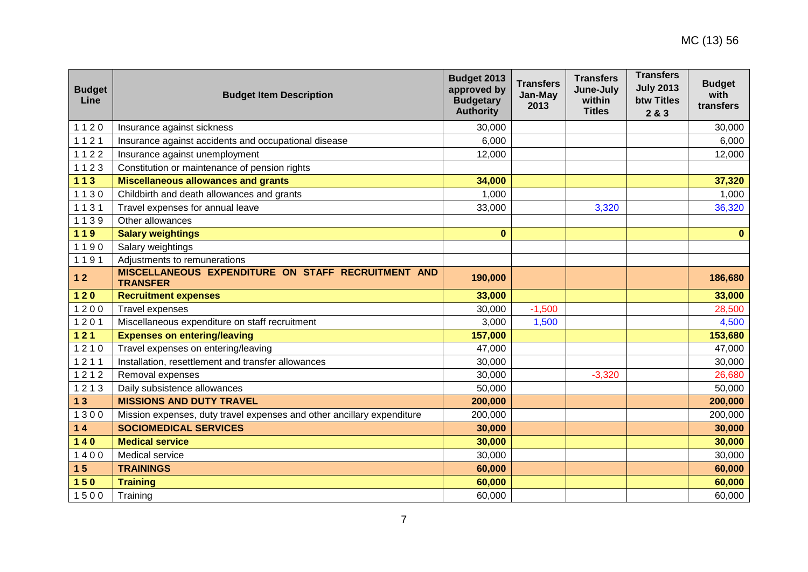| <b>Budget</b><br>Line | <b>Budget Item Description</b>                                         | Budget 2013<br>approved by<br><b>Budgetary</b><br><b>Authority</b> | <b>Transfers</b><br>Jan-May<br>2013 | <b>Transfers</b><br>June-July<br>within<br><b>Titles</b> | <b>Transfers</b><br><b>July 2013</b><br><b>btw Titles</b><br>2 & 3 | <b>Budget</b><br>with<br>transfers |
|-----------------------|------------------------------------------------------------------------|--------------------------------------------------------------------|-------------------------------------|----------------------------------------------------------|--------------------------------------------------------------------|------------------------------------|
| 1120                  | Insurance against sickness                                             | 30,000                                                             |                                     |                                                          |                                                                    | 30,000                             |
| 1121                  | Insurance against accidents and occupational disease                   | 6,000                                                              |                                     |                                                          |                                                                    | 6,000                              |
| 1122                  | Insurance against unemployment                                         | 12,000                                                             |                                     |                                                          |                                                                    | 12,000                             |
| 1123                  | Constitution or maintenance of pension rights                          |                                                                    |                                     |                                                          |                                                                    |                                    |
| $113$                 | Miscellaneous allowances and grants                                    | 34,000                                                             |                                     |                                                          |                                                                    | 37,320                             |
| 1130                  | Childbirth and death allowances and grants                             | 1,000                                                              |                                     |                                                          |                                                                    | 1,000                              |
| 1131                  | Travel expenses for annual leave                                       | 33,000                                                             |                                     | 3,320                                                    |                                                                    | 36,320                             |
| 1139                  | Other allowances                                                       |                                                                    |                                     |                                                          |                                                                    |                                    |
| 119                   | <b>Salary weightings</b>                                               | $\bf{0}$                                                           |                                     |                                                          |                                                                    | $\mathbf{0}$                       |
| 1190                  | Salary weightings                                                      |                                                                    |                                     |                                                          |                                                                    |                                    |
| 1191                  | Adjustments to remunerations                                           |                                                                    |                                     |                                                          |                                                                    |                                    |
| $12$                  | MISCELLANEOUS EXPENDITURE ON STAFF RECRUITMENT AND<br><b>TRANSFER</b>  | 190,000                                                            |                                     |                                                          |                                                                    | 186,680                            |
| $120$                 | <b>Recruitment expenses</b>                                            | 33,000                                                             |                                     |                                                          |                                                                    | 33,000                             |
| 1200                  | Travel expenses                                                        | 30,000                                                             | $-1,500$                            |                                                          |                                                                    | 28,500                             |
| 1201                  | Miscellaneous expenditure on staff recruitment                         | 3,000                                                              | 1,500                               |                                                          |                                                                    | 4,500                              |
| $121$                 | <b>Expenses on entering/leaving</b>                                    | 157,000                                                            |                                     |                                                          |                                                                    | 153,680                            |
| 1210                  | Travel expenses on entering/leaving                                    | 47,000                                                             |                                     |                                                          |                                                                    | 47,000                             |
| 1211                  | Installation, resettlement and transfer allowances                     | 30,000                                                             |                                     |                                                          |                                                                    | 30,000                             |
| 1212                  | Removal expenses                                                       | 30,000                                                             |                                     | $-3,320$                                                 |                                                                    | 26,680                             |
| 1213                  | Daily subsistence allowances                                           | 50,000                                                             |                                     |                                                          |                                                                    | 50,000                             |
| 13                    | <b>MISSIONS AND DUTY TRAVEL</b>                                        | 200,000                                                            |                                     |                                                          |                                                                    | 200,000                            |
| 1300                  | Mission expenses, duty travel expenses and other ancillary expenditure | 200,000                                                            |                                     |                                                          |                                                                    | 200,000                            |
| $14$                  | <b>SOCIOMEDICAL SERVICES</b>                                           | 30,000                                                             |                                     |                                                          |                                                                    | 30,000                             |
| $140$                 | <b>Medical service</b>                                                 | 30,000                                                             |                                     |                                                          |                                                                    | 30,000                             |
| 1400                  | Medical service                                                        | 30,000                                                             |                                     |                                                          |                                                                    | 30,000                             |
| 15                    | <b>TRAININGS</b>                                                       | 60,000                                                             |                                     |                                                          |                                                                    | 60,000                             |
| 150                   | <b>Training</b>                                                        | 60,000                                                             |                                     |                                                          |                                                                    | 60,000                             |
| 1500                  | Training                                                               | 60,000                                                             |                                     |                                                          |                                                                    | 60,000                             |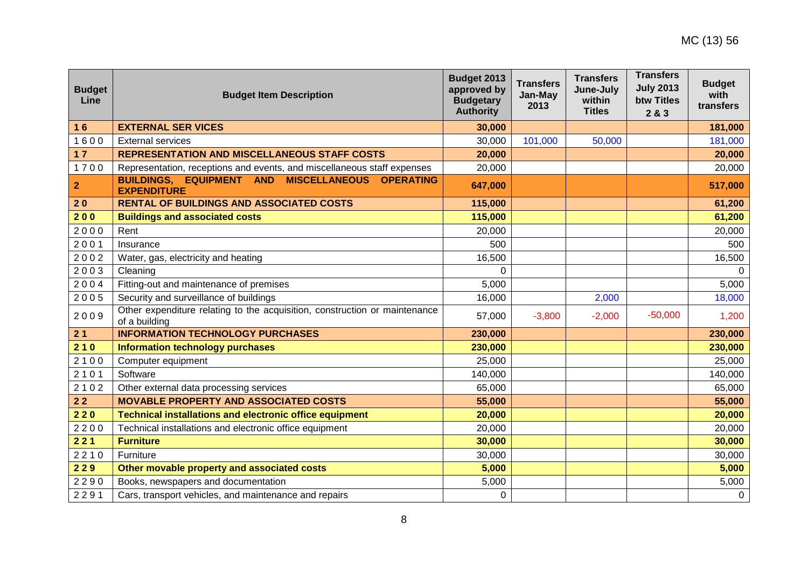| <b>Budget</b><br>Line | <b>Budget Item Description</b>                                                              | Budget 2013<br>approved by<br><b>Budgetary</b><br><b>Authority</b> | <b>Transfers</b><br>Jan-May<br>2013 | <b>Transfers</b><br>June-July<br>within<br><b>Titles</b> | <b>Transfers</b><br><b>July 2013</b><br><b>btw Titles</b><br>2 & 3 | <b>Budget</b><br>with<br>transfers |
|-----------------------|---------------------------------------------------------------------------------------------|--------------------------------------------------------------------|-------------------------------------|----------------------------------------------------------|--------------------------------------------------------------------|------------------------------------|
| 16                    | <b>EXTERNAL SER VICES</b>                                                                   | 30,000                                                             |                                     |                                                          |                                                                    | 181,000                            |
| 1600                  | <b>External services</b>                                                                    | 30,000                                                             | 101,000                             | 50,000                                                   |                                                                    | 181,000                            |
| $17$                  | <b>REPRESENTATION AND MISCELLANEOUS STAFF COSTS</b>                                         | 20,000                                                             |                                     |                                                          |                                                                    | 20,000                             |
| 1700                  | Representation, receptions and events, and miscellaneous staff expenses                     | 20,000                                                             |                                     |                                                          |                                                                    | 20,000                             |
| $\mathbf{2}$          | BUILDINGS, EQUIPMENT AND MISCELLANEOUS OPERATING<br><b>EXPENDITURE</b>                      | 647,000                                                            |                                     |                                                          |                                                                    | 517,000                            |
| 20                    | <b>RENTAL OF BUILDINGS AND ASSOCIATED COSTS</b>                                             | 115,000                                                            |                                     |                                                          |                                                                    | 61,200                             |
| 200                   | <b>Buildings and associated costs</b>                                                       | 115,000                                                            |                                     |                                                          |                                                                    | 61,200                             |
| 2000                  | Rent                                                                                        | 20,000                                                             |                                     |                                                          |                                                                    | 20,000                             |
| 2001                  | Insurance                                                                                   | 500                                                                |                                     |                                                          |                                                                    | 500                                |
| 2002                  | Water, gas, electricity and heating                                                         | 16,500                                                             |                                     |                                                          |                                                                    | 16,500                             |
| 2003                  | Cleaning                                                                                    | $\Omega$                                                           |                                     |                                                          |                                                                    | $\Omega$                           |
| 2004                  | Fitting-out and maintenance of premises                                                     | 5,000                                                              |                                     |                                                          |                                                                    | 5,000                              |
| 2005                  | Security and surveillance of buildings                                                      | 16,000                                                             |                                     | 2,000                                                    |                                                                    | 18,000                             |
| 2009                  | Other expenditure relating to the acquisition, construction or maintenance<br>of a building | 57,000                                                             | $-3,800$                            | $-2,000$                                                 | $-50,000$                                                          | 1,200                              |
| 21                    | <b>INFORMATION TECHNOLOGY PURCHASES</b>                                                     | 230,000                                                            |                                     |                                                          |                                                                    | 230,000                            |
| 210                   | <b>Information technology purchases</b>                                                     | 230,000                                                            |                                     |                                                          |                                                                    | 230,000                            |
| 2100                  | Computer equipment                                                                          | 25,000                                                             |                                     |                                                          |                                                                    | 25,000                             |
| 2101                  | Software                                                                                    | 140,000                                                            |                                     |                                                          |                                                                    | 140,000                            |
| 2102                  | Other external data processing services                                                     | 65,000                                                             |                                     |                                                          |                                                                    | 65,000                             |
| $22$                  | <b>MOVABLE PROPERTY AND ASSOCIATED COSTS</b>                                                | 55,000                                                             |                                     |                                                          |                                                                    | 55,000                             |
| 220                   | <b>Technical installations and electronic office equipment</b>                              | 20,000                                                             |                                     |                                                          |                                                                    | 20,000                             |
| 2200                  | Technical installations and electronic office equipment                                     | 20,000                                                             |                                     |                                                          |                                                                    | 20,000                             |
| 221                   | <b>Furniture</b>                                                                            | 30,000                                                             |                                     |                                                          |                                                                    | 30,000                             |
| 2210                  | Furniture                                                                                   | 30,000                                                             |                                     |                                                          |                                                                    | 30,000                             |
| 229                   | Other movable property and associated costs                                                 | 5,000                                                              |                                     |                                                          |                                                                    | 5,000                              |
| 2290                  | Books, newspapers and documentation                                                         | 5,000                                                              |                                     |                                                          |                                                                    | 5,000                              |
| 2291                  | Cars, transport vehicles, and maintenance and repairs                                       | $\Omega$                                                           |                                     |                                                          |                                                                    | $\mathbf 0$                        |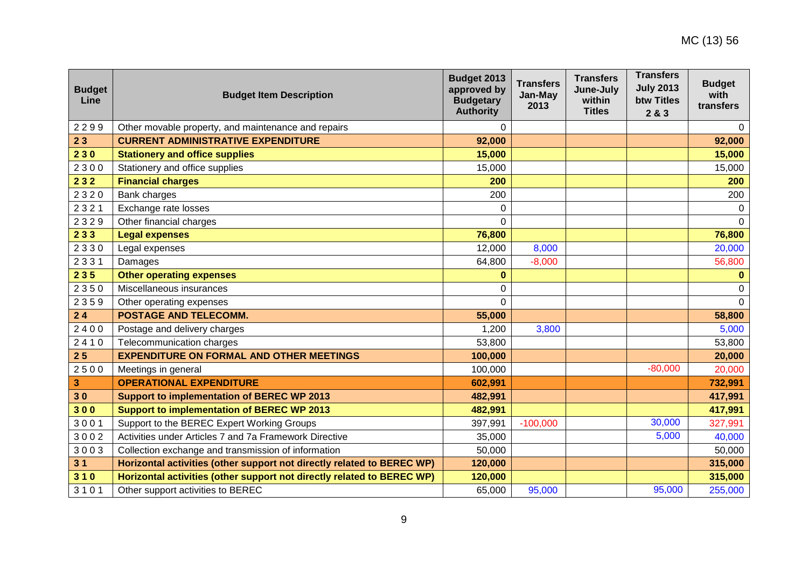| <b>Budget</b><br>Line | <b>Budget Item Description</b>                                         | Budget 2013<br>approved by<br><b>Budgetary</b><br><b>Authority</b> | <b>Transfers</b><br>Jan-May<br>2013 | <b>Transfers</b><br>June-July<br>within<br><b>Titles</b> | <b>Transfers</b><br><b>July 2013</b><br><b>btw Titles</b><br>2 & 3 | <b>Budget</b><br>with<br>transfers |
|-----------------------|------------------------------------------------------------------------|--------------------------------------------------------------------|-------------------------------------|----------------------------------------------------------|--------------------------------------------------------------------|------------------------------------|
| 2299                  | Other movable property, and maintenance and repairs                    | $\Omega$                                                           |                                     |                                                          |                                                                    | $\Omega$                           |
| 23                    | <b>CURRENT ADMINISTRATIVE EXPENDITURE</b>                              | 92,000                                                             |                                     |                                                          |                                                                    | 92,000                             |
| 230                   | <b>Stationery and office supplies</b>                                  | 15,000                                                             |                                     |                                                          |                                                                    | 15,000                             |
| 2300                  | Stationery and office supplies                                         | 15,000                                                             |                                     |                                                          |                                                                    | 15,000                             |
| 232                   | <b>Financial charges</b>                                               | 200                                                                |                                     |                                                          |                                                                    | 200                                |
| 2320                  | Bank charges                                                           | 200                                                                |                                     |                                                          |                                                                    | 200                                |
| 2321                  | Exchange rate losses                                                   | $\Omega$                                                           |                                     |                                                          |                                                                    | $\mathbf 0$                        |
| 2329                  | Other financial charges                                                | $\overline{0}$                                                     |                                     |                                                          |                                                                    | $\Omega$                           |
| 233                   | <b>Legal expenses</b>                                                  | 76,800                                                             |                                     |                                                          |                                                                    | 76,800                             |
| 2330                  | Legal expenses                                                         | 12,000                                                             | 8,000                               |                                                          |                                                                    | 20,000                             |
| 2331                  | Damages                                                                | 64,800                                                             | $-8,000$                            |                                                          |                                                                    | 56,800                             |
| 235                   | <b>Other operating expenses</b>                                        | $\bf{0}$                                                           |                                     |                                                          |                                                                    | $\mathbf{0}$                       |
| 2350                  | Miscellaneous insurances                                               | 0                                                                  |                                     |                                                          |                                                                    | 0                                  |
| 2359                  | Other operating expenses                                               | $\Omega$                                                           |                                     |                                                          |                                                                    | $\Omega$                           |
| 24                    | <b>POSTAGE AND TELECOMM.</b>                                           | 55,000                                                             |                                     |                                                          |                                                                    | 58,800                             |
| 2400                  | Postage and delivery charges                                           | 1,200                                                              | 3,800                               |                                                          |                                                                    | 5,000                              |
| 2410                  | Telecommunication charges                                              | 53,800                                                             |                                     |                                                          |                                                                    | 53,800                             |
| 25                    | <b>EXPENDITURE ON FORMAL AND OTHER MEETINGS</b>                        | 100,000                                                            |                                     |                                                          |                                                                    | 20,000                             |
| 2500                  | Meetings in general                                                    | 100,000                                                            |                                     |                                                          | $-80,000$                                                          | 20,000                             |
| 3                     | <b>OPERATIONAL EXPENDITURE</b>                                         | 602,991                                                            |                                     |                                                          |                                                                    | 732,991                            |
| 30                    | <b>Support to implementation of BEREC WP 2013</b>                      | 482,991                                                            |                                     |                                                          |                                                                    | 417,991                            |
| 300                   | <b>Support to implementation of BEREC WP 2013</b>                      | 482,991                                                            |                                     |                                                          |                                                                    | 417,991                            |
| 3001                  | Support to the BEREC Expert Working Groups                             | 397,991                                                            | $-100,000$                          |                                                          | 30,000                                                             | 327,991                            |
| 3002                  | Activities under Articles 7 and 7a Framework Directive                 | 35,000                                                             |                                     |                                                          | 5,000                                                              | 40,000                             |
| 3003                  | Collection exchange and transmission of information                    | 50,000                                                             |                                     |                                                          |                                                                    | 50,000                             |
| 31                    | Horizontal activities (other support not directly related to BEREC WP) | 120,000                                                            |                                     |                                                          |                                                                    | 315,000                            |
| 310                   | Horizontal activities (other support not directly related to BEREC WP) | 120,000                                                            |                                     |                                                          |                                                                    | 315,000                            |
| 3101                  | Other support activities to BEREC                                      | 65,000                                                             | 95,000                              |                                                          | 95,000                                                             | 255,000                            |